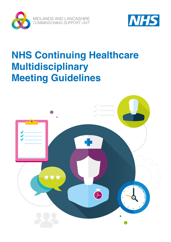



## **NHS Continuing Healthcare Multidisciplinary Meeting Guidelines**

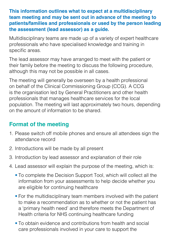**This information outlines what to expect at a multidisciplinary team meeting and may be sent out in advance of the meeting to patients/families and professionals or used by the person leading the assessment (lead assessor) as a guide.** 

Multidisciplinary teams are made up of a variety of expert healthcare professionals who have specialised knowledge and training in specific areas.

The lead assessor may have arranged to meet with the patient or their family before the meeting to discuss the following procedure, although this may not be possible in all cases.

The meeting will generally be overseen by a health professional on behalf of the Clinical Commissioning Group (CCG). A CCG is the organisation led by General Practitioners and other health professionals that manages healthcare services for the local population. The meeting will last approximately two hours, depending on the amount of information to be shared.

## **Format of the meeting**

- 1. Please switch off mobile phones and ensure all attendees sign the attendance record
- 2. Introductions will be made by all present
- 3. Introduction by lead assessor and explanation of their role
- 4. Lead assessor will explain the purpose of the meeting, which is:
	- To complete the Decision Support Tool, which will collect all the information from your assessments to help decide whether you are eligible for continuing healthcare
	- For the multidisciplinary team members involved with the patient to make a recommendation as to whether or not the patient has a 'primary health need' and therefore meets the Department of Health criteria for NHS continuing healthcare funding
	- To obtain evidence and contributions from health and social care professionals involved in your care to support the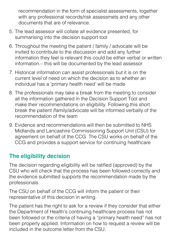recommendation in the form of specialist assessments, together with any professional records/risk assessmets and any other documents that are of relevance.

- 5. The lead assessor will collate all evidence presented, for summarising into the decision support tool
- 6. Throughout the meeting the patient / family / advocate will be invited to contribute to the discussion and add any further information they feel is relevant this could be either verbal or written information.– this will be documented by the lead assessor
- 7. Historical information can assist professionals but it is on the current level of need on which the decision as to whether an individual has a 'primary health need' will be made
- 8. The professionals may take a break from the meeting to consider all the information gathered in the Decision Support Tool and make their recommendations on eligibility. Following this short break the patient /family/advocate will be informed verbally of the recommendation of the team
- 9. Evidence and recommendations will then be submitted to NHS Midlands and Lancashire Commissioning Support Unit (CSU) for agreement on behalf of the CCG. The CSU works on behalf of the CCG and provides a support service for continuing healthcare

## **The eligibility decision**

The decision regarding eligibility will be ratified (approved) by the CSU who will check that the process has been followed correctly and the evidence submitted supports the recommendation made by the professionals.

The CSU on behalf of the CCG will inform the patient or their representative of this decision in writing.

The patient has the right to ask for a review if they consider that either the Department of Health's continuing healthcare process has not been followed or the criteria of having a "primary health need" has not been properly applied. Information on how to request a review will be included in the outcome letter from the CSU.